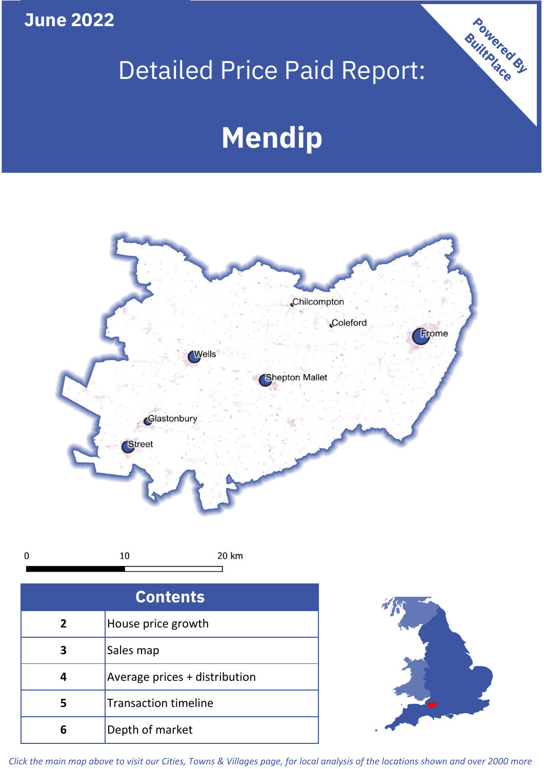### **June 2022**

 $\pmb{0}$ 

## Detailed Price Paid Report:

# **Mendip**



| <b>Contents</b> |                               |  |  |
|-----------------|-------------------------------|--|--|
| $\overline{2}$  | House price growth            |  |  |
| 3               | Sales map                     |  |  |
|                 | Average prices + distribution |  |  |
|                 | <b>Transaction timeline</b>   |  |  |
|                 | Depth of market               |  |  |



Powered By

*Click the main map above to visit our Cities, Towns & Villages page, for local analysis of the locations shown and over 2000 more*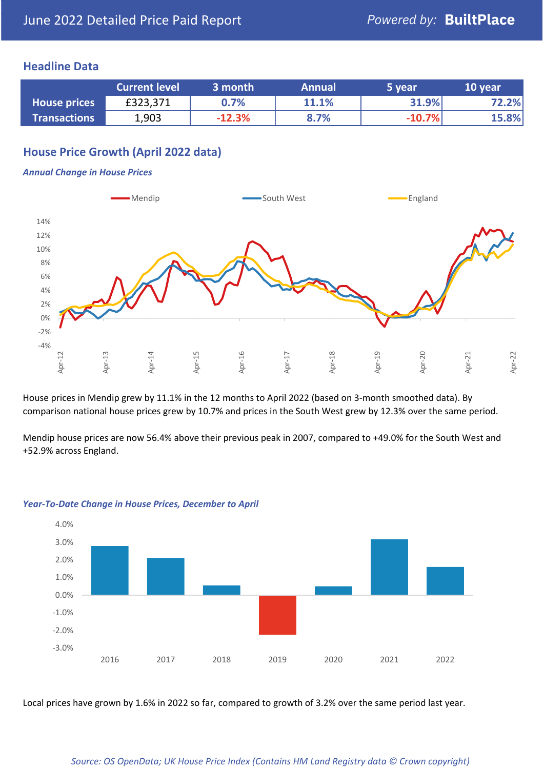#### **Headline Data**

|                     | <b>Current level</b> | 3 month  | <b>Annual</b> | 5 year   | 10 year |
|---------------------|----------------------|----------|---------------|----------|---------|
| <b>House prices</b> | £323,371             | 0.7%     | <b>11.1%</b>  | 31.9%    | 72.2%   |
| <b>Transactions</b> | 1,903                | $-12.3%$ | 8.7%          | $-10.7%$ | 15.8%   |

#### **House Price Growth (April 2022 data)**

#### *Annual Change in House Prices*



House prices in Mendip grew by 11.1% in the 12 months to April 2022 (based on 3-month smoothed data). By comparison national house prices grew by 10.7% and prices in the South West grew by 12.3% over the same period.

Mendip house prices are now 56.4% above their previous peak in 2007, compared to +49.0% for the South West and +52.9% across England.



#### *Year-To-Date Change in House Prices, December to April*

Local prices have grown by 1.6% in 2022 so far, compared to growth of 3.2% over the same period last year.

#### *Source: OS OpenData; UK House Price Index (Contains HM Land Registry data © Crown copyright)*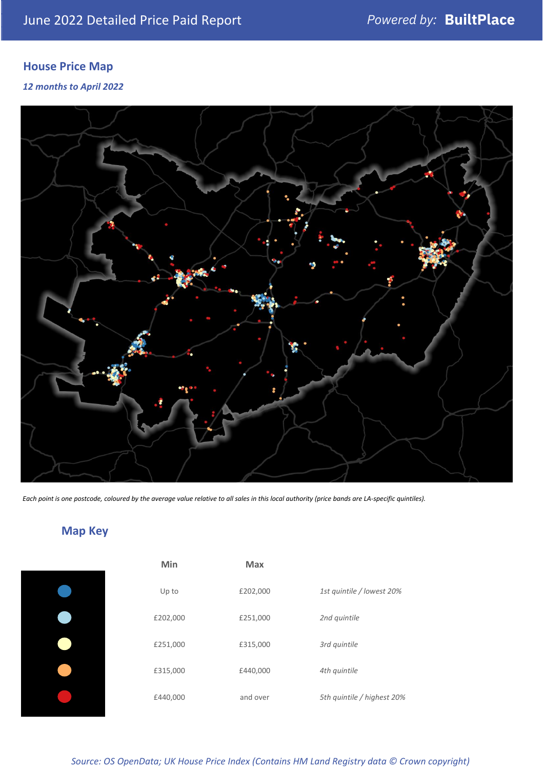#### **House Price Map**

#### *12 months to April 2022*



*Each point is one postcode, coloured by the average value relative to all sales in this local authority (price bands are LA-specific quintiles).*

### **Map Key**

| Min      | <b>Max</b> |                            |
|----------|------------|----------------------------|
| Up to    | £202,000   | 1st quintile / lowest 20%  |
| £202,000 | £251,000   | 2nd quintile               |
| £251,000 | £315,000   | 3rd quintile               |
| £315,000 | £440,000   | 4th quintile               |
| £440,000 | and over   | 5th quintile / highest 20% |
|          |            |                            |

*Source: OS OpenData; UK House Price Index (Contains HM Land Registry data © Crown copyright)*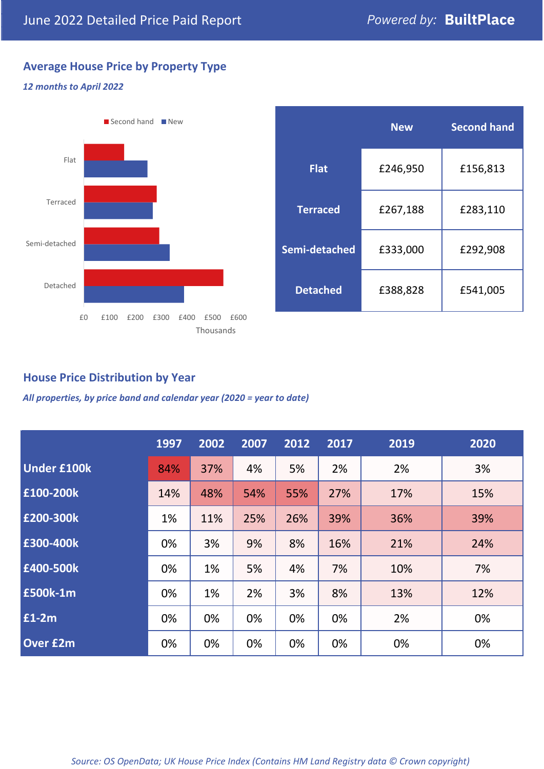#### **Average House Price by Property Type**

#### *12 months to April 2022*



|                 | <b>New</b> | <b>Second hand</b> |  |  |
|-----------------|------------|--------------------|--|--|
| <b>Flat</b>     | £246,950   | £156,813           |  |  |
| <b>Terraced</b> | £267,188   | £283,110           |  |  |
| Semi-detached   | £333,000   | £292,908           |  |  |
| <b>Detached</b> | £388,828   | £541,005           |  |  |

#### **House Price Distribution by Year**

*All properties, by price band and calendar year (2020 = year to date)*

|                    | 1997 | 2002 | 2007 | 2012 | 2017 | 2019 | 2020 |
|--------------------|------|------|------|------|------|------|------|
| <b>Under £100k</b> | 84%  | 37%  | 4%   | 5%   | 2%   | 2%   | 3%   |
| £100-200k          | 14%  | 48%  | 54%  | 55%  | 27%  | 17%  | 15%  |
| E200-300k          | 1%   | 11%  | 25%  | 26%  | 39%  | 36%  | 39%  |
| £300-400k          | 0%   | 3%   | 9%   | 8%   | 16%  | 21%  | 24%  |
| £400-500k          | 0%   | 1%   | 5%   | 4%   | 7%   | 10%  | 7%   |
| <b>£500k-1m</b>    | 0%   | 1%   | 2%   | 3%   | 8%   | 13%  | 12%  |
| £1-2m              | 0%   | 0%   | 0%   | 0%   | 0%   | 2%   | 0%   |
| <b>Over £2m</b>    | 0%   | 0%   | 0%   | 0%   | 0%   | 0%   | 0%   |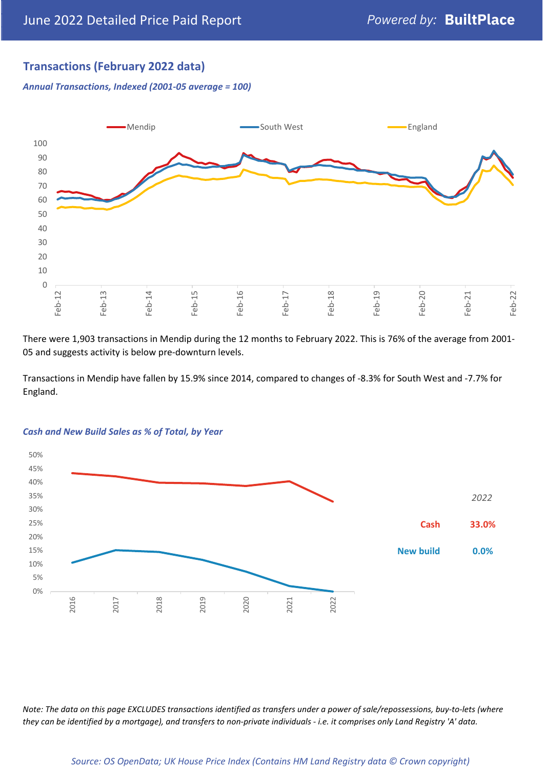#### **Transactions (February 2022 data)**

*Annual Transactions, Indexed (2001-05 average = 100)*



There were 1,903 transactions in Mendip during the 12 months to February 2022. This is 76% of the average from 2001- 05 and suggests activity is below pre-downturn levels.

Transactions in Mendip have fallen by 15.9% since 2014, compared to changes of -8.3% for South West and -7.7% for England.



#### *Cash and New Build Sales as % of Total, by Year*

*Note: The data on this page EXCLUDES transactions identified as transfers under a power of sale/repossessions, buy-to-lets (where they can be identified by a mortgage), and transfers to non-private individuals - i.e. it comprises only Land Registry 'A' data.*